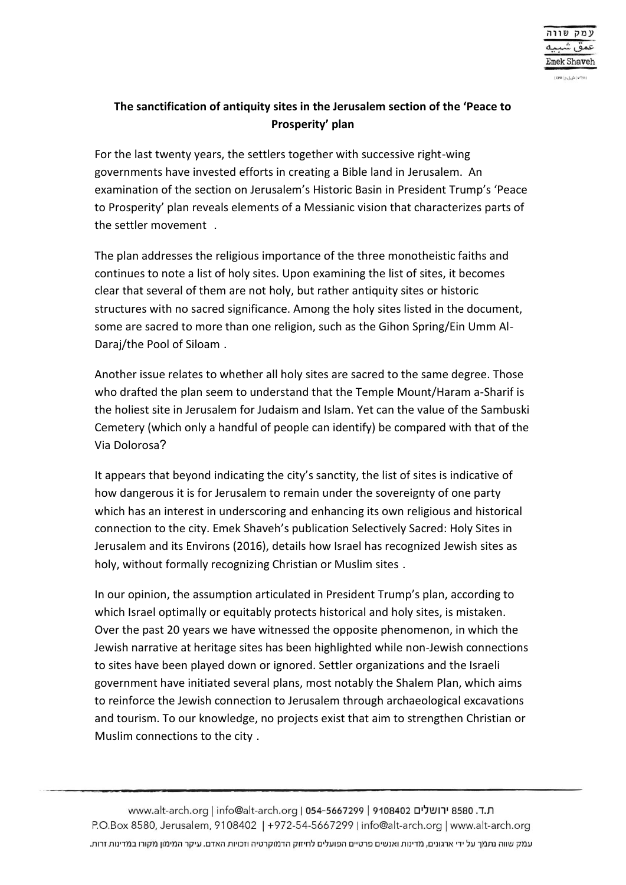## **The sanctification of antiquity sites in the Jerusalem section of the 'Peace to Prosperity' plan**

For the last twenty years, the settlers together with successive right-wing governments have invested efforts in creating a Bible land in Jerusalem. An examination of the section on Jerusalem's Historic Basin in President Trump's 'Peace to Prosperity' plan reveals elements of a Messianic vision that characterizes parts of the settler movement .

The plan addresses the religious importance of the three monotheistic faiths and continues to note a list of holy sites. Upon examining the list of sites, it becomes clear that several of them are not holy, but rather antiquity sites or historic structures with no sacred significance. Among the holy sites listed in the document, some are sacred to more than one religion, such as the Gihon Spring/Ein Umm Al-Daraj/the Pool of Siloam .

Another issue relates to whether all holy sites are sacred to the same degree. Those who drafted the plan seem to understand that the Temple Mount/Haram a-Sharif is the holiest site in Jerusalem for Judaism and Islam. Yet can the value of the Sambuski Cemetery (which only a handful of people can identify) be compared with that of the Via Dolorosa?

It appears that beyond indicating the city's sanctity, the list of sites is indicative of how dangerous it is for Jerusalem to remain under the sovereignty of one party which has an interest in underscoring and enhancing its own religious and historical connection to the city. Emek Shaveh's publication Selectively Sacred: Holy Sites in Jerusalem and its Environs (2016), details how Israel has recognized Jewish sites as holy, without formally recognizing Christian or Muslim sites .

In our opinion, the assumption articulated in President Trump's plan, according to which Israel optimally or equitably protects historical and holy sites, is mistaken. Over the past 20 years we have witnessed the opposite phenomenon, in which the Jewish narrative at heritage sites has been highlighted while non-Jewish connections to sites have been played down or ignored. Settler organizations and the Israeli government have initiated several plans, most notably the Shalem Plan, which aims to reinforce the Jewish connection to Jerusalem through archaeological excavations and tourism. To our knowledge, no projects exist that aim to strengthen Christian or Muslim connections to the city .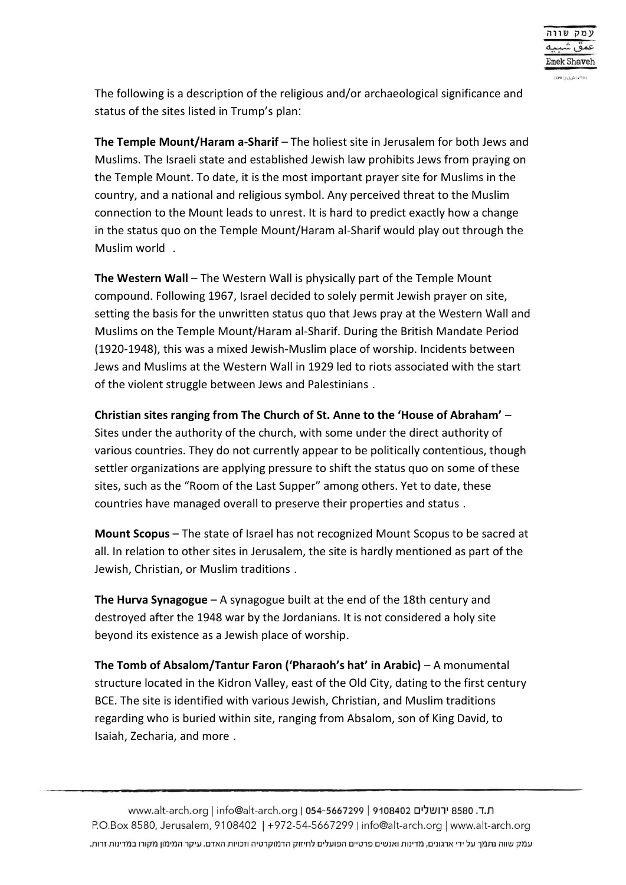The following is a description of the religious and/or archaeological significance and status of the sites listed in Trump's plan:

**The Temple Mount/Haram a-Sharif** – The holiest site in Jerusalem for both Jews and Muslims. The Israeli state and established Jewish law prohibits Jews from praying on the Temple Mount. To date, it is the most important prayer site for Muslims in the country, and a national and religious symbol. Any perceived threat to the Muslim connection to the Mount leads to unrest. It is hard to predict exactly how a change in the status quo on the Temple Mount/Haram al-Sharif would play out through the Muslim world .

**The Western Wall** – The Western Wall is physically part of the Temple Mount compound. Following 1967, Israel decided to solely permit Jewish prayer on site, setting the basis for the unwritten status quo that Jews pray at the Western Wall and Muslims on the Temple Mount/Haram al-Sharif. During the British Mandate Period (1920-1948), this was a mixed Jewish-Muslim place of worship. Incidents between Jews and Muslims at the Western Wall in 1929 led to riots associated with the start of the violent struggle between Jews and Palestinians .

**Christian sites ranging from The Church of St. Anne to the 'House of Abraham'** – Sites under the authority of the church, with some under the direct authority of various countries. They do not currently appear to be politically contentious, though settler organizations are applying pressure to shift the status quo on some of these sites, such as the "Room of the Last Supper" among others. Yet to date, these countries have managed overall to preserve their properties and status .

**Mount Scopus** – The state of Israel has not recognized Mount Scopus to be sacred at all. In relation to other sites in Jerusalem, the site is hardly mentioned as part of the Jewish, Christian, or Muslim traditions .

**The Hurva Synagogue** – A synagogue built at the end of the 18th century and destroyed after the 1948 war by the Jordanians. It is not considered a holy site beyond its existence as a Jewish place of worship .

**The Tomb of Absalom/Tantur Faron ('Pharaoh's hat' in Arabic)** – A monumental structure located in the Kidron Valley, east of the Old City, dating to the first century BCE. The site is identified with various Jewish, Christian, and Muslim traditions regarding who is buried within site, ranging from Absalom, son of King David, to Isaiah, Zecharia, and more .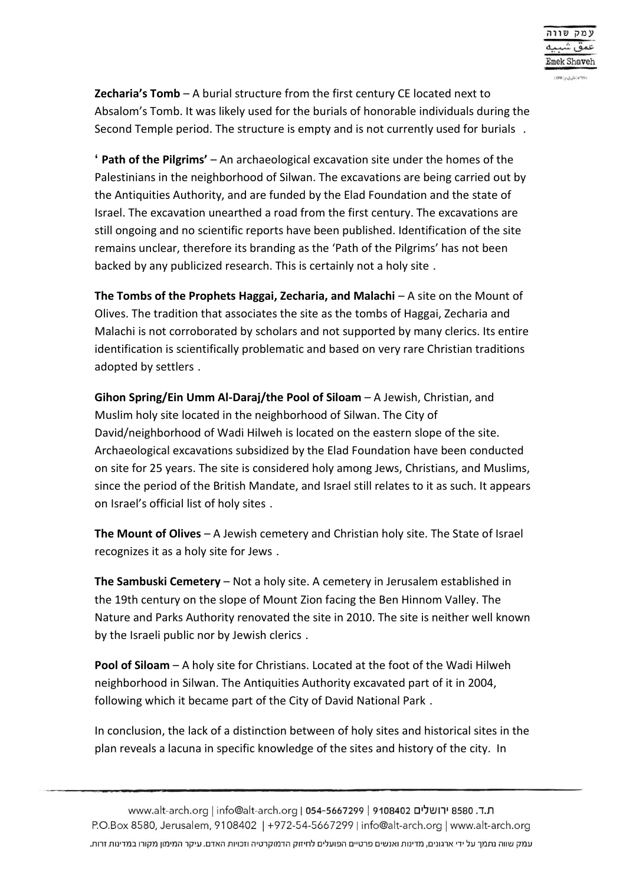**Zecharia's Tomb** – A burial structure from the first century CE located next to Absalom's Tomb. It was likely used for the burials of honorable individuals during the Second Temple period. The structure is empty and is not currently used for burials .

**' Path of the Pilgrims'** – An archaeological excavation site under the homes of the Palestinians in the neighborhood of Silwan. The excavations are being carried out by the Antiquities Authority, and are funded by the Elad Foundation and the state of Israel. The excavation unearthed a road from the first century. The excavations are still ongoing and no scientific reports have been published. Identification of the site remains unclear, therefore its branding as the 'Path of the Pilgrims' has not been backed by any publicized research. This is certainly not a holy site .

**The Tombs of the Prophets Haggai, Zecharia, and Malachi** – A site on the Mount of Olives. The tradition that associates the site as the tombs of Haggai, Zecharia and Malachi is not corroborated by scholars and not supported by many clerics. Its entire identification is scientifically problematic and based on very rare Christian traditions adopted by settlers .

**Gihon Spring/Ein Umm Al-Daraj/the Pool of Siloam** – A Jewish, Christian, and Muslim holy site located in the neighborhood of Silwan. The City of David/neighborhood of Wadi Hilweh is located on the eastern slope of the site. Archaeological excavations subsidized by the Elad Foundation have been conducted on site for 25 years. The site is considered holy among Jews, Christians, and Muslims, since the period of the British Mandate, and Israel still relates to it as such. It appears on Israel's official list of holy sites .

**The Mount of Olives** – A Jewish cemetery and Christian holy site. The State of Israel recognizes it as a holy site for Jews .

**The Sambuski Cemetery** – Not a holy site. A cemetery in Jerusalem established in the 19th century on the slope of Mount Zion facing the Ben Hinnom Valley. The Nature and Parks Authority renovated the site in 2010. The site is neither well known by the Israeli public nor by Jewish clerics .

**Pool of Siloam** – A holy site for Christians. Located at the foot of the Wadi Hilweh neighborhood in Silwan. The Antiquities Authority excavated part of it in 2004, following which it became part of the City of David National Park .

In conclusion, the lack of a distinction between of holy sites and historical sites in the plan reveals a lacuna in specific knowledge of the sites and history of the city. In